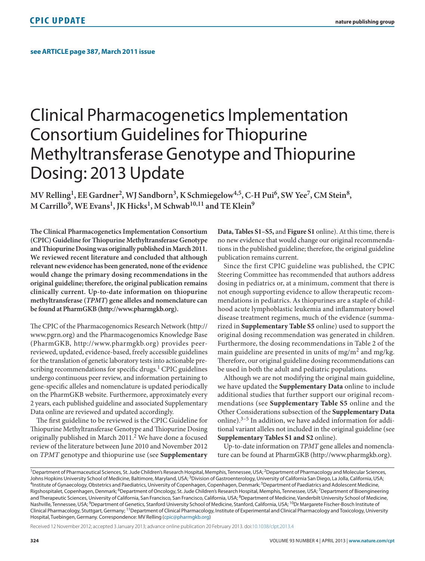## Clinical Pharmacogenetics Implementation Consortium Guidelines for Thiopurine Methyltransferase Genotype and Thiopurine Dosing: 2013 Update

MV Relling<sup>1</sup>, EE Gardner<sup>2</sup>, WJ Sandborn<sup>3</sup>, K Schmiegelow<sup>4,5</sup>, C-H Pui<sup>6</sup>, SW Yee<sup>7</sup>, CM Stein<sup>8</sup>, M Carrillo<sup>9</sup>, WE Evans<sup>1</sup>, JK Hicks<sup>1</sup>, M Schwab<sup>10,11</sup> and TE Klein<sup>9</sup>

**The Clinical Pharmacogenetics Implementation Consortium (CPIC) Guideline for Thiopurine Methyltransferase Genotype and Thiopurine Dosing was originally published in March 2011. We reviewed recent literature and concluded that although relevant new evidence has been generated, none of the evidence would change the primary dosing recommendations in the original guideline; therefore, the original publication remains clinically current. Up-to-date information on thiopurine methyltransferase (***TPMT***) gene alleles and nomenclature can be found at PharmGKB (http://www.pharmgkb.org).**

The CPIC of the Pharmacogenomics Research Network (http:// www.pgrn.org) and the Pharmacogenomics Knowledge Base (PharmGKB, http://www.pharmgkb.org) provides peerreviewed, updated, evidence-based, freely accessible guidelines for the translation of genetic laboratory tests into actionable prescribing recommendations for specific drugs. $<sup>1</sup>$  CPIC guidelines</sup> undergo continuous peer review, and information pertaining to gene-specific alleles and nomenclature is updated periodically on the PharmGKB website. Furthermore, approximately every 2 years, each published guideline and associated Supplementary Data online are reviewed and updated accordingly.

The first guideline to be reviewed is the CPIC Guideline for Thiopurine Methyltransferase Genotype and Thiopurine Dosing originally published in March 2011.<sup>2</sup> We have done a focused review of the literature between June 2010 and November 2012 on *TPMT* genotype and thiopurine use (see **Supplementary**  **Data, Tables S1–S5,** and **Figure S1** online). At this time, there is no new evidence that would change our original recommendations in the published guideline; therefore, the original guideline publication remains current.

Since the first CPIC guideline was published, the CPIC Steering Committee has recommended that authors address dosing in pediatrics or, at a minimum, comment that there is not enough supporting evidence to allow therapeutic recommendations in pediatrics. As thiopurines are a staple of childhood acute lymphoblastic leukemia and inflammatory bowel disease treatment regimens, much of the evidence (summarized in **Supplementary Table S5** online) used to support the original dosing recommendation was generated in children. Furthermore, the dosing recommendations in Table 2 of the main guideline are presented in units of mg/m<sup>2</sup> and mg/kg. Therefore, our original guideline dosing recommendations can be used in both the adult and pediatric populations.

Although we are not modifying the original main guideline, we have updated the **Supplementary Data** online to include additional studies that further support our original recommendations (see **Supplementary Table S5** online and the Other Considerations subsection of the **Supplementary Data** online). $3-5$  In addition, we have added information for additional variant alleles not included in the original guideline (see **Supplementary Tables S1 and S2** online).

Up-to-date information on *TPMT* gene alleles and nomenclature can be found at PharmGKB (http://www.pharmgkb.org).

Received 12 November 2012; accepted 3 January 2013; advance online publication 20 February 2013. doi:[10.1038/clpt.2013.4](http://www.nature.com/doifinder/10.1038/clpt.2013.4)

<sup>&</sup>lt;sup>1</sup>Department of Pharmaceutical Sciences, St. Jude Children's Research Hospital, Memphis, Tennessee, USA; <sup>2</sup>Department of Pharmacology and Molecular Sciences, Johns Hopkins University School of Medicine, Baltimore, Maryland, USA; <sup>3</sup>Division of Gastroenterology, University of California San Diego, La Jolla, California, USA;<br><sup>4</sup>Institute of Gynaecology, Obstetrics and Paediatrics Rigshospitalet, Copenhagen, Denmark; <sup>6</sup>Department of Oncology, St. Jude Children's Research Hospital, Memphis, Tennessee, USA; <sup>7</sup>Department of Bioengineering and Therapeutic Sciences, University of California, San Francisco, San Francisco, California, USA; <sup>8</sup>Department of Medicine, Vanderbilt University School of Medicine, Nashville, Tennessee, USA; <sup>9</sup>Department of Genetics, Stanford University School of Medicine, Stanford, California, USA; <sup>10</sup>Dr Margarete Fischer-Bosch Institute of Clinical Pharmacology, Stuttgart, Germany; 11Department of Clinical Pharmacology, Institute of Experimental and Clinical Pharmacology and Toxicology, University Hospital, Tuebingen, Germany. Correspondence: MV Relling ([cpic@pharmgkb.org](mailto:cpic@pharmgkb.org))